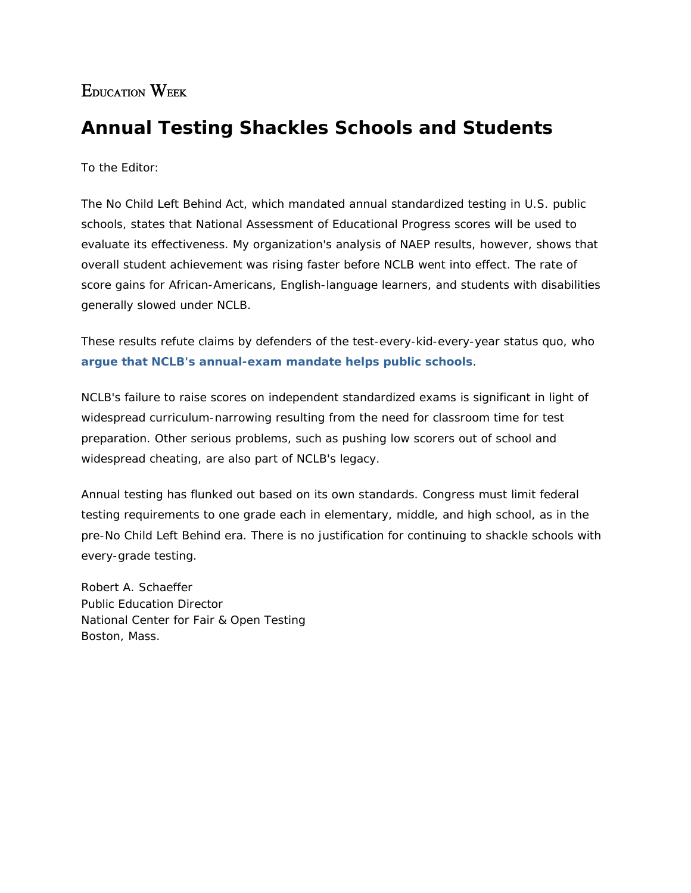## EDUCATION WEEK

## **Annual Testing Shackles Schools and Students**

To the Editor:

The No Child Left Behind Act, which mandated annual standardized testing in U.S. public schools, states that National Assessment of Educational Progress scores will be used to evaluate its effectiveness. My organization's analysis of NAEP results, however, shows that overall student achievement was rising faster before NCLB went into effect. The rate of score gains for African-Americans, English-language learners, and students with disabilities generally slowed under NCLB.

These results refute claims by defenders of the test-every-kid-every-year status quo, who **argue that NCLB's annual-exam mandate helps public schools**.

NCLB's failure to raise scores on independent standardized exams is significant in light of widespread curriculum-narrowing resulting from the need for classroom time for test preparation. Other serious problems, such as pushing low scorers out of school and widespread cheating, are also part of NCLB's legacy.

Annual testing has flunked out based on its own standards. Congress must limit federal testing requirements to one grade each in elementary, middle, and high school, as in the pre-No Child Left Behind era. There is no justification for continuing to shackle schools with every-grade testing.

Robert A. Schaeffer *Public Education Director National Center for Fair & Open Testing Boston, Mass.*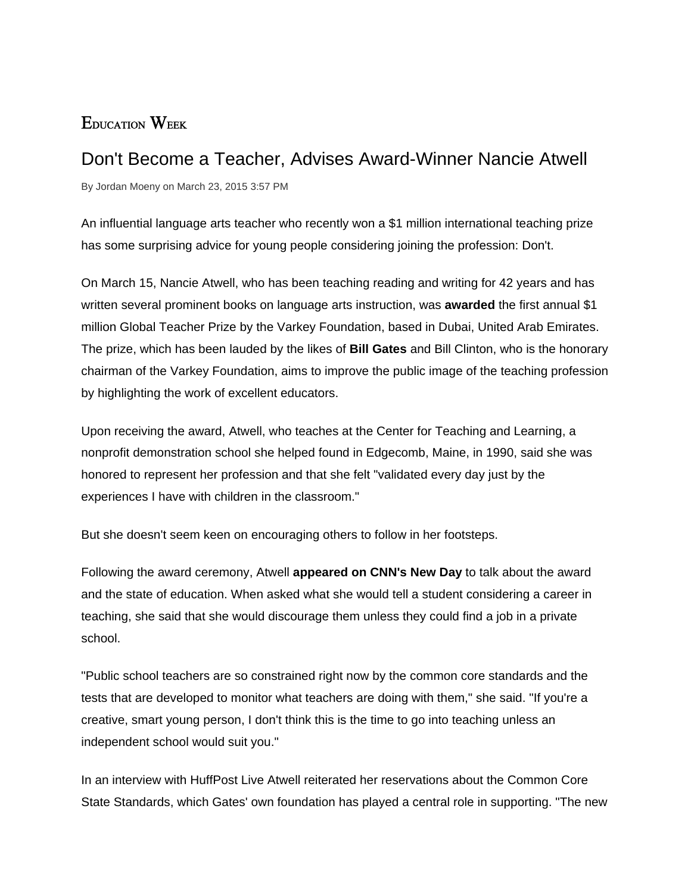## EDUCATION WEEK

## Don't Become a Teacher, Advises Award-Winner Nancie Atwell

By Jordan Moeny on March 23, 2015 3:57 PM

An influential language arts teacher who recently won a \$1 million international teaching prize has some surprising advice for young people considering joining the profession: Don't.

On March 15, Nancie Atwell, who has been teaching reading and writing for 42 years and has written several prominent books on language arts instruction, was **awarded** the first annual \$1 million Global Teacher Prize by the Varkey Foundation, based in Dubai, United Arab Emirates. The prize, which has been lauded by the likes of **Bill Gates** and Bill Clinton, who is the honorary chairman of the Varkey Foundation, aims to improve the public image of the teaching profession by highlighting the work of excellent educators.

Upon receiving the award, Atwell, who teaches at the Center for Teaching and Learning, a nonprofit demonstration school she helped found in Edgecomb, Maine, in 1990, said she was honored to represent her profession and that she felt "validated every day just by the experiences I have with children in the classroom."

But she doesn't seem keen on encouraging others to follow in her footsteps.

Following the award ceremony, Atwell **appeared on CNN's New Day** to talk about the award and the state of education. When asked what she would tell a student considering a career in teaching, she said that she would discourage them unless they could find a job in a private school.

"Public school teachers are so constrained right now by the common core standards and the tests that are developed to monitor what teachers are doing with them," she said. "If you're a creative, smart young person, I don't think this is the time to go into teaching unless an independent school would suit you."

In an interview with HuffPost Live Atwell reiterated her reservations about the Common Core State Standards, which Gates' own foundation has played a central role in supporting. "The new